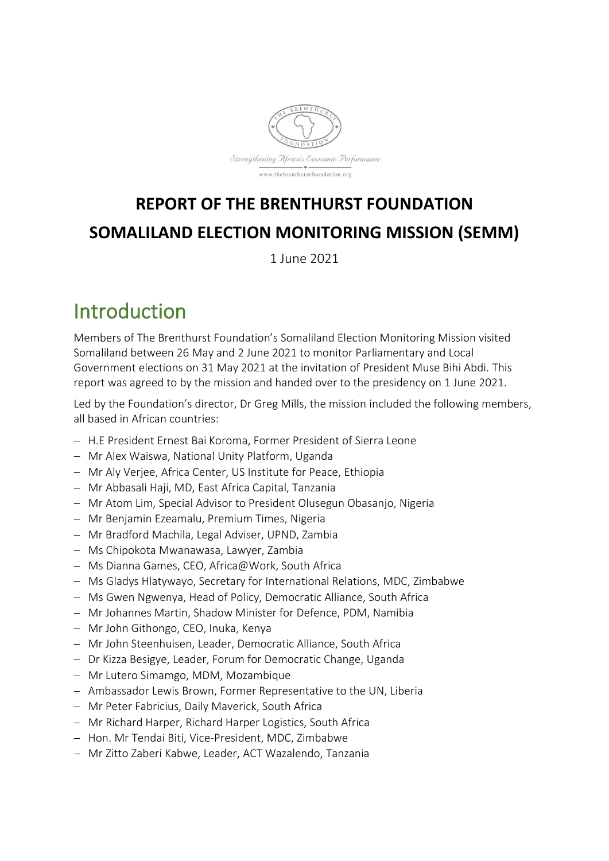

## **REPORT OF THE BRENTHURST FOUNDATION SOMALILAND ELECTION MONITORING MISSION (SEMM)**

1 June 2021

## Introduction

Members of The Brenthurst Foundation's Somaliland Election Monitoring Mission visited Somaliland between 26 May and 2 June 2021 to monitor Parliamentary and Local Government elections on 31 May 2021 at the invitation of President Muse Bihi Abdi. This report was agreed to by the mission and handed over to the presidency on 1 June 2021.

Led by the Foundation's director, Dr Greg Mills, the mission included the following members, all based in African countries:

- − H.E President Ernest Bai Koroma, Former President of Sierra Leone
- − Mr Alex Waiswa, National Unity Platform, Uganda
- − Mr Aly Verjee, Africa Center, US Institute for Peace, Ethiopia
- − Mr Abbasali Haji, MD, East Africa Capital, Tanzania
- − Mr Atom Lim, Special Advisor to President Olusegun Obasanjo, Nigeria
- − Mr Benjamin Ezeamalu, Premium Times, Nigeria
- − Mr Bradford Machila, Legal Adviser, UPND, Zambia
- − Ms Chipokota Mwanawasa, Lawyer, Zambia
- − Ms Dianna Games, CEO, Africa@Work, South Africa
- − Ms Gladys Hlatywayo, Secretary for International Relations, MDC, Zimbabwe
- − Ms Gwen Ngwenya, Head of Policy, Democratic Alliance, South Africa
- − Mr Johannes Martin, Shadow Minister for Defence, PDM, Namibia
- − Mr John Githongo, CEO, Inuka, Kenya
- − Mr John Steenhuisen, Leader, Democratic Alliance, South Africa
- − Dr Kizza Besigye, Leader, Forum for Democratic Change, Uganda
- − Mr Lutero Simamgo, MDM, Mozambique
- − Ambassador Lewis Brown, Former Representative to the UN, Liberia
- − Mr Peter Fabricius, Daily Maverick, South Africa
- − Mr Richard Harper, Richard Harper Logistics, South Africa
- − Hon. Mr Tendai Biti, Vice-President, MDC, Zimbabwe
- − Mr Zitto Zaberi Kabwe, Leader, ACT Wazalendo, Tanzania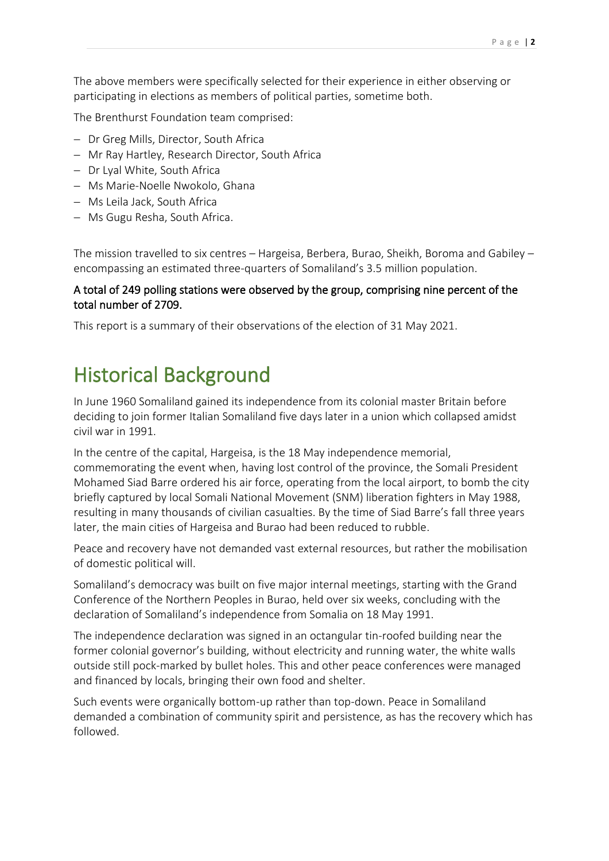The above members were specifically selected for their experience in either observing or participating in elections as members of political parties, sometime both.

The Brenthurst Foundation team comprised:

- − Dr Greg Mills, Director, South Africa
- − Mr Ray Hartley, Research Director, South Africa
- − Dr Lyal White, South Africa
- − Ms Marie-Noelle Nwokolo, Ghana
- − Ms Leila Jack, South Africa
- − Ms Gugu Resha, South Africa.

The mission travelled to six centres – Hargeisa, Berbera, Burao, Sheikh, Boroma and Gabiley – encompassing an estimated three-quarters of Somaliland's 3.5 million population.

### A total of 249 polling stations were observed by the group, comprising nine percent of the total number of 2709.

This report is a summary of their observations of the election of 31 May 2021.

## Historical Background

In June 1960 Somaliland gained its independence from its colonial master Britain before deciding to join former Italian Somaliland five days later in a union which collapsed amidst civil war in 1991.

In the centre of the capital, Hargeisa, is the 18 May independence memorial, commemorating the event when, having lost control of the province, the Somali President Mohamed Siad Barre ordered his air force, operating from the local airport, to bomb the city briefly captured by local Somali National Movement (SNM) liberation fighters in May 1988, resulting in many thousands of civilian casualties. By the time of Siad Barre's fall three years later, the main cities of Hargeisa and Burao had been reduced to rubble.

Peace and recovery have not demanded vast external resources, but rather the mobilisation of domestic political will.

Somaliland's democracy was built on five major internal meetings, starting with the Grand Conference of the Northern Peoples in Burao, held over six weeks, concluding with the declaration of Somaliland's independence from Somalia on 18 May 1991.

The independence declaration was signed in an octangular tin-roofed building near the former colonial governor's building, without electricity and running water, the white walls outside still pock-marked by bullet holes. This and other peace conferences were managed and financed by locals, bringing their own food and shelter.

Such events were organically bottom-up rather than top-down. Peace in Somaliland demanded a combination of community spirit and persistence, as has the recovery which has followed.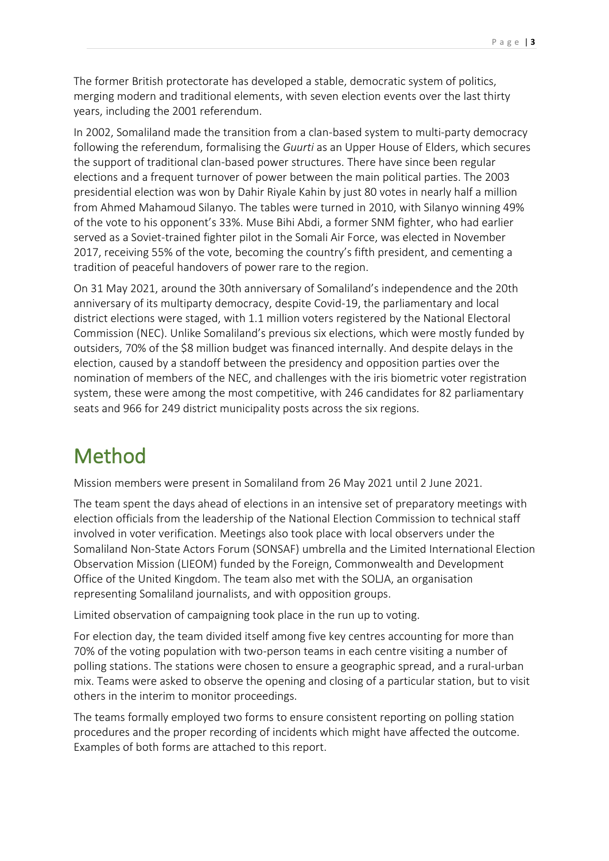The former British protectorate has developed a stable, democratic system of politics, merging modern and traditional elements, with seven election events over the last thirty years, including the 2001 referendum.

In 2002, Somaliland made the transition from a clan-based system to multi-party democracy following the referendum, formalising the *Guurti* as an Upper House of Elders, which secures the support of traditional clan-based power structures. There have since been regular elections and a frequent turnover of power between the main political parties. The 2003 presidential election was won by Dahir Riyale Kahin by just 80 votes in nearly half a million from Ahmed Mahamoud Silanyo. The tables were turned in 2010, with Silanyo winning 49% of the vote to his opponent's 33%. Muse Bihi Abdi, a former SNM fighter, who had earlier served as a Soviet-trained fighter pilot in the Somali Air Force, was elected in November 2017, receiving 55% of the vote, becoming the country's fifth president, and cementing a tradition of peaceful handovers of power rare to the region.

On 31 May 2021, around the 30th anniversary of Somaliland's independence and the 20th anniversary of its multiparty democracy, despite Covid-19, the parliamentary and local district elections were staged, with 1.1 million voters registered by the National Electoral Commission (NEC). Unlike Somaliland's previous six elections, which were mostly funded by outsiders, 70% of the \$8 million budget was financed internally. And despite delays in the election, caused by a standoff between the presidency and opposition parties over the nomination of members of the NEC, and challenges with the iris biometric voter registration system, these were among the most competitive, with 246 candidates for 82 parliamentary seats and 966 for 249 district municipality posts across the six regions.

## Method

Mission members were present in Somaliland from 26 May 2021 until 2 June 2021.

The team spent the days ahead of elections in an intensive set of preparatory meetings with election officials from the leadership of the National Election Commission to technical staff involved in voter verification. Meetings also took place with local observers under the Somaliland Non-State Actors Forum (SONSAF) umbrella and the Limited International Election Observation Mission (LIEOM) funded by the Foreign, Commonwealth and Development Office of the United Kingdom. The team also met with the SOLJA, an organisation representing Somaliland journalists, and with opposition groups.

Limited observation of campaigning took place in the run up to voting.

For election day, the team divided itself among five key centres accounting for more than 70% of the voting population with two-person teams in each centre visiting a number of polling stations. The stations were chosen to ensure a geographic spread, and a rural-urban mix. Teams were asked to observe the opening and closing of a particular station, but to visit others in the interim to monitor proceedings.

The teams formally employed two forms to ensure consistent reporting on polling station procedures and the proper recording of incidents which might have affected the outcome. Examples of both forms are attached to this report.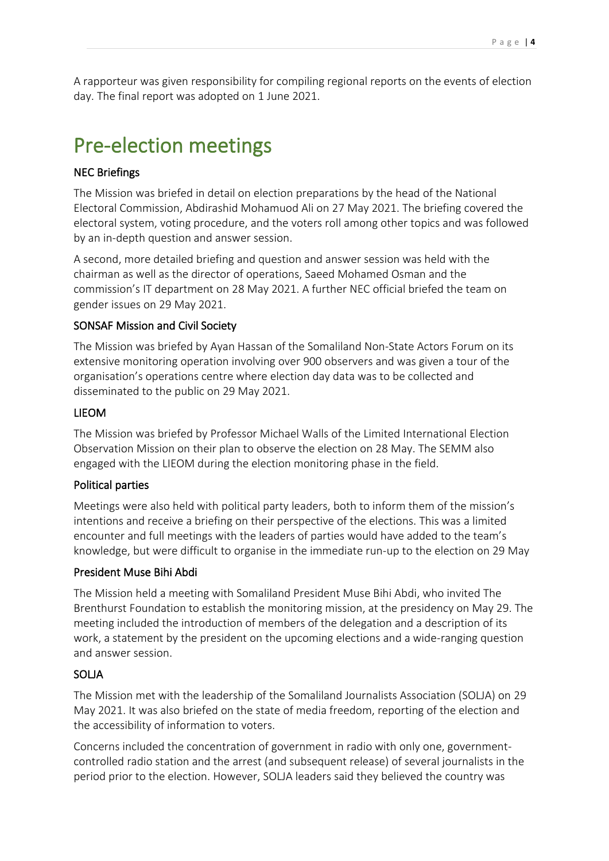A rapporteur was given responsibility for compiling regional reports on the events of election day. The final report was adopted on 1 June 2021.

# Pre-election meetings

### NEC Briefings

The Mission was briefed in detail on election preparations by the head of the National Electoral Commission, Abdirashid Mohamuod Ali on 27 May 2021. The briefing covered the electoral system, voting procedure, and the voters roll among other topics and was followed by an in-depth question and answer session.

A second, more detailed briefing and question and answer session was held with the chairman as well as the director of operations, Saeed Mohamed Osman and the commission's IT department on 28 May 2021. A further NEC official briefed the team on gender issues on 29 May 2021.

### SONSAF Mission and Civil Society

The Mission was briefed by Ayan Hassan of the Somaliland Non-State Actors Forum on its extensive monitoring operation involving over 900 observers and was given a tour of the organisation's operations centre where election day data was to be collected and disseminated to the public on 29 May 2021.

### LIEOM

The Mission was briefed by Professor Michael Walls of the Limited International Election Observation Mission on their plan to observe the election on 28 May. The SEMM also engaged with the LIEOM during the election monitoring phase in the field.

### Political parties

Meetings were also held with political party leaders, both to inform them of the mission's intentions and receive a briefing on their perspective of the elections. This was a limited encounter and full meetings with the leaders of parties would have added to the team's knowledge, but were difficult to organise in the immediate run-up to the election on 29 May

### President Muse Bihi Abdi

The Mission held a meeting with Somaliland President Muse Bihi Abdi, who invited The Brenthurst Foundation to establish the monitoring mission, at the presidency on May 29. The meeting included the introduction of members of the delegation and a description of its work, a statement by the president on the upcoming elections and a wide-ranging question and answer session.

### SOLJA

The Mission met with the leadership of the Somaliland Journalists Association (SOLJA) on 29 May 2021. It was also briefed on the state of media freedom, reporting of the election and the accessibility of information to voters.

Concerns included the concentration of government in radio with only one, governmentcontrolled radio station and the arrest (and subsequent release) of several journalists in the period prior to the election. However, SOLJA leaders said they believed the country was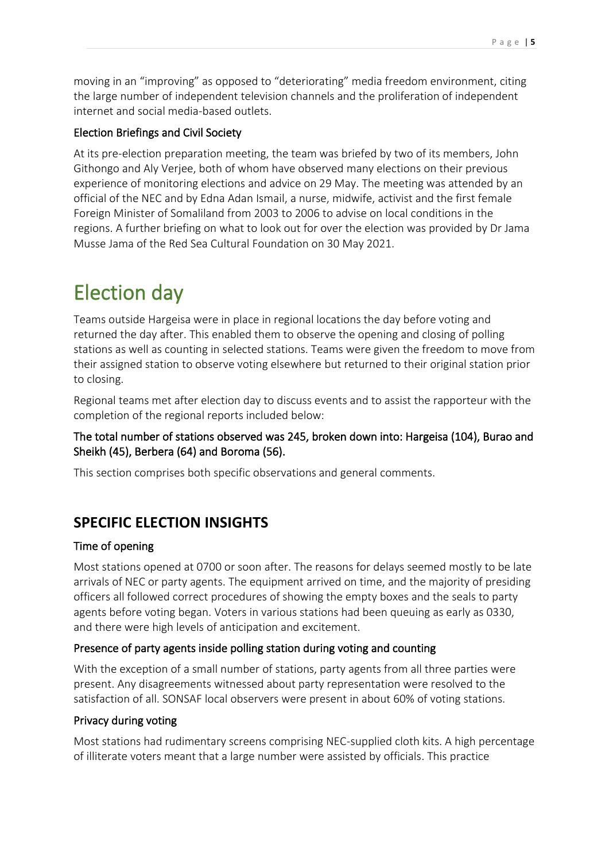moving in an "improving" as opposed to "deteriorating" media freedom environment, citing the large number of independent television channels and the proliferation of independent internet and social media-based outlets.

### Election Briefings and Civil Society

At its pre-election preparation meeting, the team was briefed by two of its members, John Githongo and Aly Verjee, both of whom have observed many elections on their previous experience of monitoring elections and advice on 29 May. The meeting was attended by an official of the NEC and by Edna Adan Ismail, a nurse, midwife, activist and the first female Foreign Minister of Somaliland from 2003 to 2006 to advise on local conditions in the regions. A further briefing on what to look out for over the election was provided by Dr Jama Musse Jama of the Red Sea Cultural Foundation on 30 May 2021.

# Election day

Teams outside Hargeisa were in place in regional locations the day before voting and returned the day after. This enabled them to observe the opening and closing of polling stations as well as counting in selected stations. Teams were given the freedom to move from their assigned station to observe voting elsewhere but returned to their original station prior to closing.

Regional teams met after election day to discuss events and to assist the rapporteur with the completion of the regional reports included below:

### The total number of stations observed was 245, broken down into: Hargeisa (104), Burao and Sheikh (45), Berbera (64) and Boroma (56).

This section comprises both specific observations and general comments.

## **SPECIFIC ELECTION INSIGHTS**

### Time of opening

Most stations opened at 0700 or soon after. The reasons for delays seemed mostly to be late arrivals of NEC or party agents. The equipment arrived on time, and the majority of presiding officers all followed correct procedures of showing the empty boxes and the seals to party agents before voting began. Voters in various stations had been queuing as early as 0330, and there were high levels of anticipation and excitement.

### Presence of party agents inside polling station during voting and counting

With the exception of a small number of stations, party agents from all three parties were present. Any disagreements witnessed about party representation were resolved to the satisfaction of all. SONSAF local observers were present in about 60% of voting stations.

### Privacy during voting

Most stations had rudimentary screens comprising NEC-supplied cloth kits. A high percentage of illiterate voters meant that a large number were assisted by officials. This practice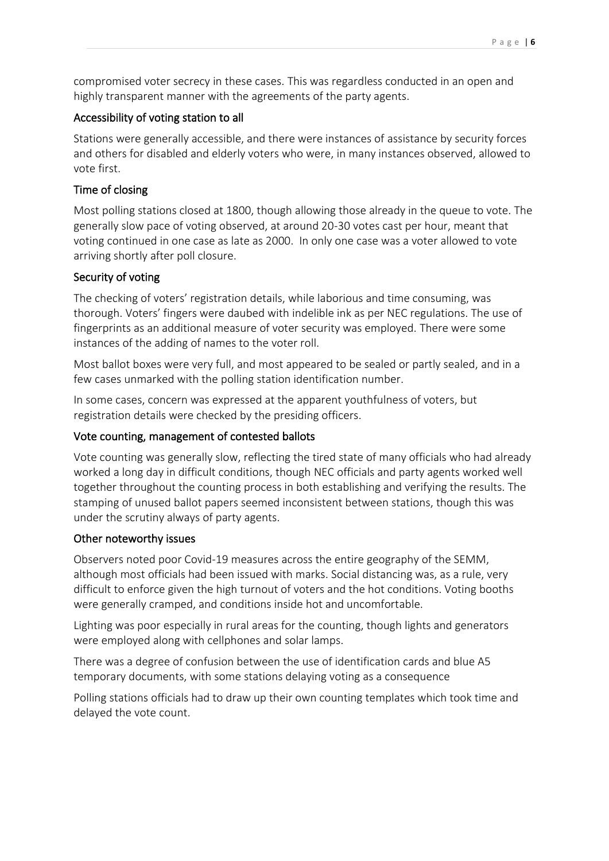compromised voter secrecy in these cases. This was regardless conducted in an open and highly transparent manner with the agreements of the party agents.

### Accessibility of voting station to all

Stations were generally accessible, and there were instances of assistance by security forces and others for disabled and elderly voters who were, in many instances observed, allowed to vote first.

### Time of closing

Most polling stations closed at 1800, though allowing those already in the queue to vote. The generally slow pace of voting observed, at around 20-30 votes cast per hour, meant that voting continued in one case as late as 2000. In only one case was a voter allowed to vote arriving shortly after poll closure.

### Security of voting

The checking of voters' registration details, while laborious and time consuming, was thorough. Voters' fingers were daubed with indelible ink as per NEC regulations. The use of fingerprints as an additional measure of voter security was employed. There were some instances of the adding of names to the voter roll.

Most ballot boxes were very full, and most appeared to be sealed or partly sealed, and in a few cases unmarked with the polling station identification number.

In some cases, concern was expressed at the apparent youthfulness of voters, but registration details were checked by the presiding officers.

### Vote counting, management of contested ballots

Vote counting was generally slow, reflecting the tired state of many officials who had already worked a long day in difficult conditions, though NEC officials and party agents worked well together throughout the counting process in both establishing and verifying the results. The stamping of unused ballot papers seemed inconsistent between stations, though this was under the scrutiny always of party agents.

### Other noteworthy issues

Observers noted poor Covid-19 measures across the entire geography of the SEMM, although most officials had been issued with marks. Social distancing was, as a rule, very difficult to enforce given the high turnout of voters and the hot conditions. Voting booths were generally cramped, and conditions inside hot and uncomfortable.

Lighting was poor especially in rural areas for the counting, though lights and generators were employed along with cellphones and solar lamps.

There was a degree of confusion between the use of identification cards and blue A5 temporary documents, with some stations delaying voting as a consequence

Polling stations officials had to draw up their own counting templates which took time and delayed the vote count.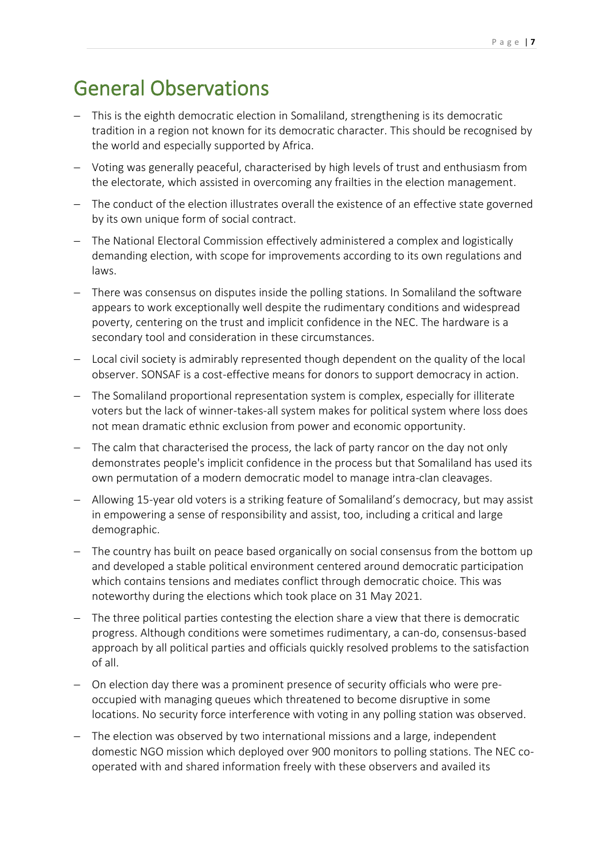## General Observations

- − This is the eighth democratic election in Somaliland, strengthening is its democratic tradition in a region not known for its democratic character. This should be recognised by the world and especially supported by Africa.
- − Voting was generally peaceful, characterised by high levels of trust and enthusiasm from the electorate, which assisted in overcoming any frailties in the election management.
- − The conduct of the election illustrates overall the existence of an effective state governed by its own unique form of social contract.
- − The National Electoral Commission effectively administered a complex and logistically demanding election, with scope for improvements according to its own regulations and laws.
- There was consensus on disputes inside the polling stations. In Somaliland the software appears to work exceptionally well despite the rudimentary conditions and widespread poverty, centering on the trust and implicit confidence in the NEC. The hardware is a secondary tool and consideration in these circumstances.
- − Local civil society is admirably represented though dependent on the quality of the local observer. SONSAF is a cost-effective means for donors to support democracy in action.
- − The Somaliland proportional representation system is complex, especially for illiterate voters but the lack of winner-takes-all system makes for political system where loss does not mean dramatic ethnic exclusion from power and economic opportunity.
- − The calm that characterised the process, the lack of party rancor on the day not only demonstrates people's implicit confidence in the process but that Somaliland has used its own permutation of a modern democratic model to manage intra-clan cleavages.
- − Allowing 15-year old voters is a striking feature of Somaliland's democracy, but may assist in empowering a sense of responsibility and assist, too, including a critical and large demographic.
- − The country has built on peace based organically on social consensus from the bottom up and developed a stable political environment centered around democratic participation which contains tensions and mediates conflict through democratic choice. This was noteworthy during the elections which took place on 31 May 2021.
- − The three political parties contesting the election share a view that there is democratic progress. Although conditions were sometimes rudimentary, a can-do, consensus-based approach by all political parties and officials quickly resolved problems to the satisfaction of all.
- − On election day there was a prominent presence of security officials who were preoccupied with managing queues which threatened to become disruptive in some locations. No security force interference with voting in any polling station was observed.
- − The election was observed by two international missions and a large, independent domestic NGO mission which deployed over 900 monitors to polling stations. The NEC cooperated with and shared information freely with these observers and availed its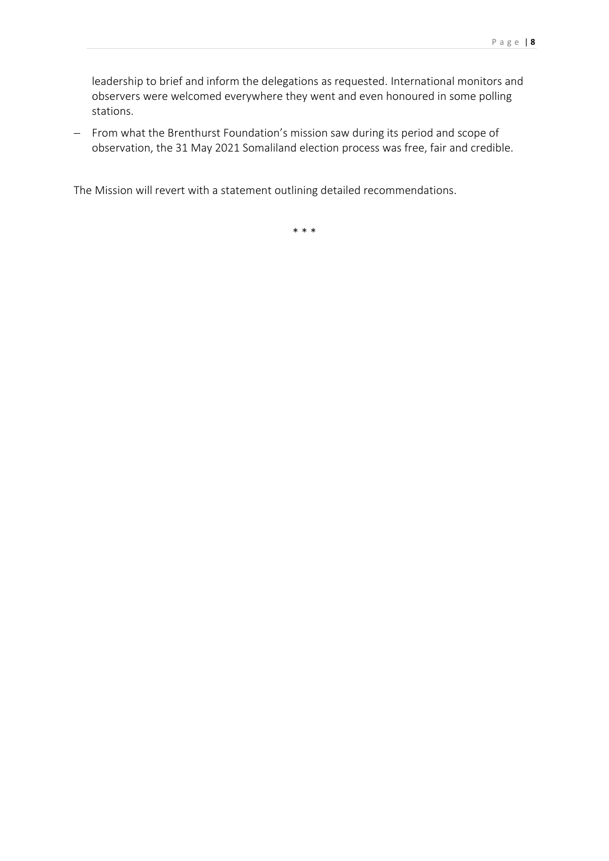leadership to brief and inform the delegations as requested. International monitors and observers were welcomed everywhere they went and even honoured in some polling stations.

− From what the Brenthurst Foundation's mission saw during its period and scope of observation, the 31 May 2021 Somaliland election process was free, fair and credible.

The Mission will revert with a statement outlining detailed recommendations.

\* \* \*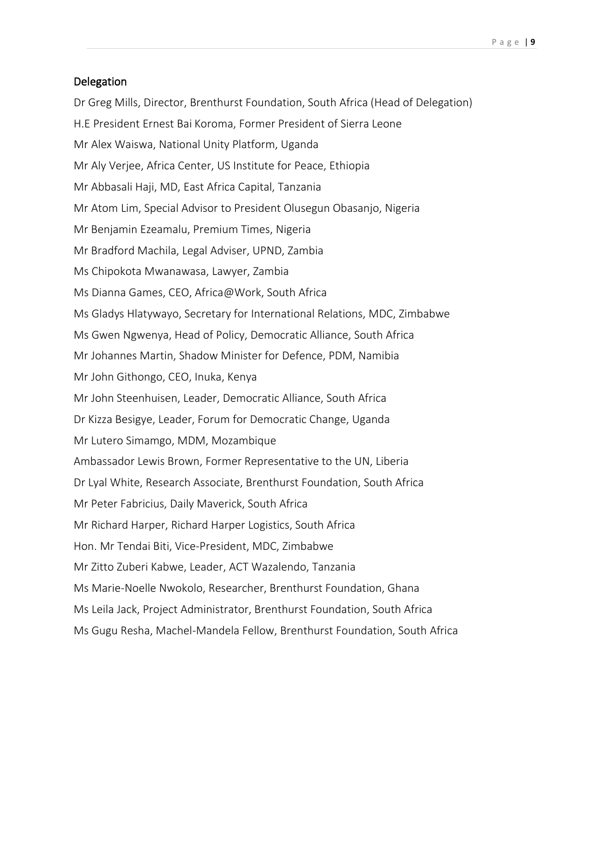#### Delegation

Dr Greg Mills, Director, Brenthurst Foundation, South Africa (Head of Delegation) H.E President Ernest Bai Koroma, Former President of Sierra Leone Mr Alex Waiswa, National Unity Platform, Uganda Mr Aly Verjee, Africa Center, US Institute for Peace, Ethiopia Mr Abbasali Haji, MD, East Africa Capital, Tanzania Mr Atom Lim, Special Advisor to President Olusegun Obasanjo, Nigeria Mr Benjamin Ezeamalu, Premium Times, Nigeria Mr Bradford Machila, Legal Adviser, UPND, Zambia Ms Chipokota Mwanawasa, Lawyer, Zambia Ms Dianna Games, CEO, Africa@Work, South Africa Ms Gladys Hlatywayo, Secretary for International Relations, MDC, Zimbabwe Ms Gwen Ngwenya, Head of Policy, Democratic Alliance, South Africa Mr Johannes Martin, Shadow Minister for Defence, PDM, Namibia Mr John Githongo, CEO, Inuka, Kenya Mr John Steenhuisen, Leader, Democratic Alliance, South Africa Dr Kizza Besigye, Leader, Forum for Democratic Change, Uganda Mr Lutero Simamgo, MDM, Mozambique Ambassador Lewis Brown, Former Representative to the UN, Liberia Dr Lyal White, Research Associate, Brenthurst Foundation, South Africa Mr Peter Fabricius, Daily Maverick, South Africa Mr Richard Harper, Richard Harper Logistics, South Africa Hon. Mr Tendai Biti, Vice-President, MDC, Zimbabwe Mr Zitto Zuberi Kabwe, Leader, ACT Wazalendo, Tanzania Ms Marie-Noelle Nwokolo, Researcher, Brenthurst Foundation, Ghana Ms Leila Jack, Project Administrator, Brenthurst Foundation, South Africa Ms Gugu Resha, Machel-Mandela Fellow, Brenthurst Foundation, South Africa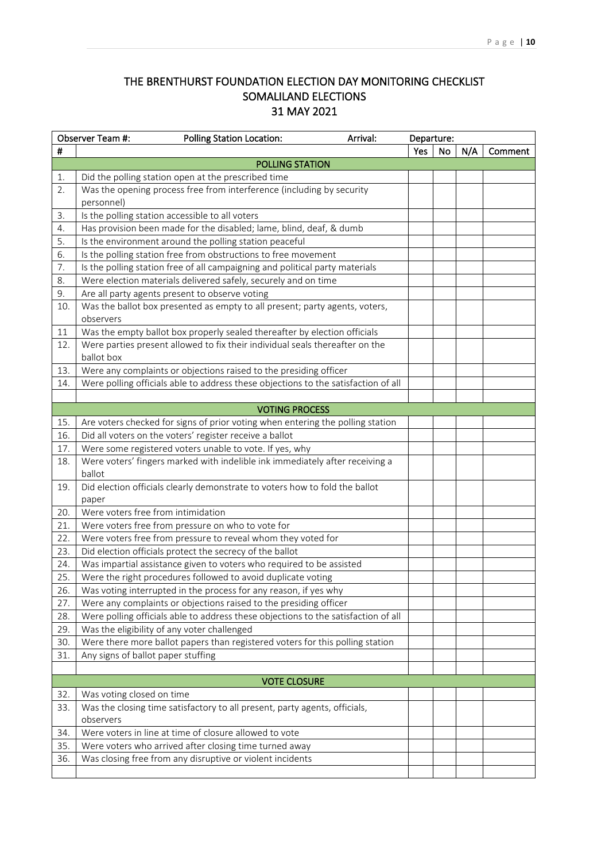### THE BRENTHURST FOUNDATION ELECTION DAY MONITORING CHECKLIST SOMALILAND ELECTIONS 31 MAY 2021

|     | Observer Team #:<br><b>Polling Station Location:</b><br>Arrival:                         |            | Departure: |     |         |  |  |
|-----|------------------------------------------------------------------------------------------|------------|------------|-----|---------|--|--|
| #   |                                                                                          | <b>Yes</b> | <b>No</b>  | N/A | Comment |  |  |
|     | POLLING STATION                                                                          |            |            |     |         |  |  |
| 1.  | Did the polling station open at the prescribed time                                      |            |            |     |         |  |  |
| 2.  | Was the opening process free from interference (including by security                    |            |            |     |         |  |  |
|     | personnel)                                                                               |            |            |     |         |  |  |
| 3.  | Is the polling station accessible to all voters                                          |            |            |     |         |  |  |
| 4.  | Has provision been made for the disabled; lame, blind, deaf, & dumb                      |            |            |     |         |  |  |
| 5.  | Is the environment around the polling station peaceful                                   |            |            |     |         |  |  |
| 6.  | Is the polling station free from obstructions to free movement                           |            |            |     |         |  |  |
| 7.  | Is the polling station free of all campaigning and political party materials             |            |            |     |         |  |  |
| 8.  | Were election materials delivered safely, securely and on time                           |            |            |     |         |  |  |
| 9.  | Are all party agents present to observe voting                                           |            |            |     |         |  |  |
| 10. | Was the ballot box presented as empty to all present; party agents, voters,<br>observers |            |            |     |         |  |  |
| 11  | Was the empty ballot box properly sealed thereafter by election officials                |            |            |     |         |  |  |
| 12. | Were parties present allowed to fix their individual seals thereafter on the             |            |            |     |         |  |  |
|     | ballot box                                                                               |            |            |     |         |  |  |
| 13. | Were any complaints or objections raised to the presiding officer                        |            |            |     |         |  |  |
| 14. | Were polling officials able to address these objections to the satisfaction of all       |            |            |     |         |  |  |
|     |                                                                                          |            |            |     |         |  |  |
|     | <b>VOTING PROCESS</b>                                                                    |            |            |     |         |  |  |
| 15. | Are voters checked for signs of prior voting when entering the polling station           |            |            |     |         |  |  |
| 16. | Did all voters on the voters' register receive a ballot                                  |            |            |     |         |  |  |
| 17. | Were some registered voters unable to vote. If yes, why                                  |            |            |     |         |  |  |
| 18. | Were voters' fingers marked with indelible ink immediately after receiving a<br>ballot   |            |            |     |         |  |  |
| 19. | Did election officials clearly demonstrate to voters how to fold the ballot              |            |            |     |         |  |  |
|     | paper                                                                                    |            |            |     |         |  |  |
| 20. | Were voters free from intimidation                                                       |            |            |     |         |  |  |
| 21. | Were voters free from pressure on who to vote for                                        |            |            |     |         |  |  |
| 22. | Were voters free from pressure to reveal whom they voted for                             |            |            |     |         |  |  |
| 23. | Did election officials protect the secrecy of the ballot                                 |            |            |     |         |  |  |
| 24. | Was impartial assistance given to voters who required to be assisted                     |            |            |     |         |  |  |
| 25. | Were the right procedures followed to avoid duplicate voting                             |            |            |     |         |  |  |
| 26. | Was voting interrupted in the process for any reason, if yes why                         |            |            |     |         |  |  |
| 27. | Were any complaints or objections raised to the presiding officer                        |            |            |     |         |  |  |
| 28. | Were polling officials able to address these objections to the satisfaction of all       |            |            |     |         |  |  |
| 29. | Was the eligibility of any voter challenged                                              |            |            |     |         |  |  |
| 30. | Were there more ballot papers than registered voters for this polling station            |            |            |     |         |  |  |
| 31. | Any signs of ballot paper stuffing                                                       |            |            |     |         |  |  |
|     |                                                                                          |            |            |     |         |  |  |
|     | <b>VOTE CLOSURE</b>                                                                      |            |            |     |         |  |  |
| 32. | Was voting closed on time                                                                |            |            |     |         |  |  |
| 33. | Was the closing time satisfactory to all present, party agents, officials,               |            |            |     |         |  |  |
|     | observers                                                                                |            |            |     |         |  |  |
| 34. | Were voters in line at time of closure allowed to vote                                   |            |            |     |         |  |  |
| 35. | Were voters who arrived after closing time turned away                                   |            |            |     |         |  |  |
| 36. | Was closing free from any disruptive or violent incidents                                |            |            |     |         |  |  |
|     |                                                                                          |            |            |     |         |  |  |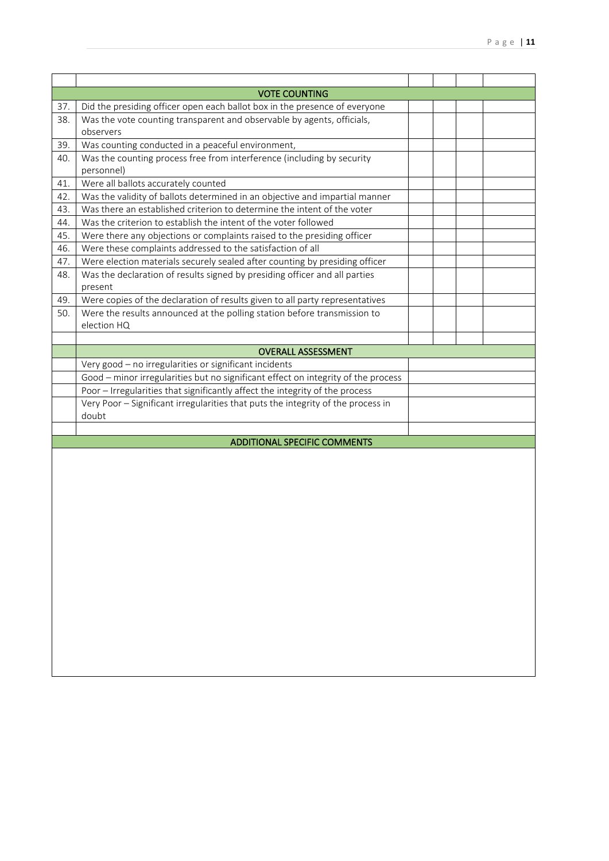| <b>VOTE COUNTING</b> |                                                                                      |  |  |  |  |  |  |
|----------------------|--------------------------------------------------------------------------------------|--|--|--|--|--|--|
| 37.                  | Did the presiding officer open each ballot box in the presence of everyone           |  |  |  |  |  |  |
| 38.                  | Was the vote counting transparent and observable by agents, officials,<br>observers  |  |  |  |  |  |  |
| 39.                  | Was counting conducted in a peaceful environment,                                    |  |  |  |  |  |  |
| 40.                  | Was the counting process free from interference (including by security<br>personnel) |  |  |  |  |  |  |
| 41.                  | Were all ballots accurately counted                                                  |  |  |  |  |  |  |
| 42.                  | Was the validity of ballots determined in an objective and impartial manner          |  |  |  |  |  |  |
| 43.                  | Was there an established criterion to determine the intent of the voter              |  |  |  |  |  |  |
| 44.                  | Was the criterion to establish the intent of the voter followed                      |  |  |  |  |  |  |
| 45.                  | Were there any objections or complaints raised to the presiding officer              |  |  |  |  |  |  |
| 46.                  | Were these complaints addressed to the satisfaction of all                           |  |  |  |  |  |  |
| 47.                  | Were election materials securely sealed after counting by presiding officer          |  |  |  |  |  |  |
| 48.                  | Was the declaration of results signed by presiding officer and all parties           |  |  |  |  |  |  |
|                      | present                                                                              |  |  |  |  |  |  |
| 49.                  | Were copies of the declaration of results given to all party representatives         |  |  |  |  |  |  |
|                      |                                                                                      |  |  |  |  |  |  |
| 50.                  | Were the results announced at the polling station before transmission to             |  |  |  |  |  |  |
|                      | election HQ                                                                          |  |  |  |  |  |  |
|                      |                                                                                      |  |  |  |  |  |  |
|                      | <b>OVERALL ASSESSMENT</b>                                                            |  |  |  |  |  |  |
|                      | Very good - no irregularities or significant incidents                               |  |  |  |  |  |  |
|                      | Good - minor irregularities but no significant effect on integrity of the process    |  |  |  |  |  |  |
|                      | Poor - Irregularities that significantly affect the integrity of the process         |  |  |  |  |  |  |
|                      | Very Poor - Significant irregularities that puts the integrity of the process in     |  |  |  |  |  |  |
|                      | doubt                                                                                |  |  |  |  |  |  |
|                      |                                                                                      |  |  |  |  |  |  |
|                      | <b>ADDITIONAL SPECIFIC COMMENTS</b>                                                  |  |  |  |  |  |  |
|                      |                                                                                      |  |  |  |  |  |  |
|                      |                                                                                      |  |  |  |  |  |  |